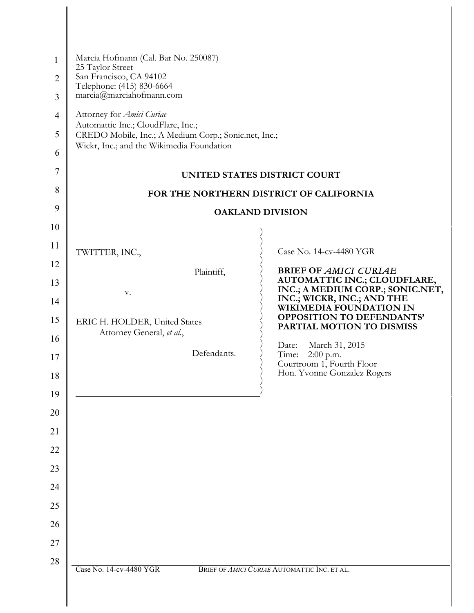| $\mathbf{1}$<br>$\overline{2}$<br>3 | Marcia Hofmann (Cal. Bar No. 250087)<br>25 Taylor Street<br>San Francisco, CA 94102<br>Telephone: (415) 830-6664<br>marcia@marciahofmann.com |                                                                  |
|-------------------------------------|----------------------------------------------------------------------------------------------------------------------------------------------|------------------------------------------------------------------|
| $\overline{4}$                      | Attorney for Amici Curiae                                                                                                                    |                                                                  |
| 5                                   | Automattic Inc.; CloudFlare, Inc.;<br>CREDO Mobile, Inc.; A Medium Corp.; Sonic.net, Inc.;                                                   |                                                                  |
| 6                                   | Wickr, Inc.; and the Wikimedia Foundation                                                                                                    |                                                                  |
| 7                                   | UNITED STATES DISTRICT COURT                                                                                                                 |                                                                  |
| 8                                   | FOR THE NORTHERN DISTRICT OF CALIFORNIA                                                                                                      |                                                                  |
| 9                                   | <b>OAKLAND DIVISION</b>                                                                                                                      |                                                                  |
| 10                                  |                                                                                                                                              |                                                                  |
| 11                                  | TWITTER, INC.,                                                                                                                               | Case No. 14-cv-4480 YGR                                          |
| 12                                  | Plaintiff,                                                                                                                                   | <b>BRIEF OF AMICI CURIAE</b>                                     |
| 13                                  | V.                                                                                                                                           | AUTOMATTIC INC.; CLOUDFLARE,<br>INC.; A MEDIUM CORP.; SONIC.NET, |
| 14                                  |                                                                                                                                              | INC.; WICKR, INC.; AND THE<br><b>WIKIMEDIA FOUNDATION IN</b>     |
| 15                                  | ERIC H. HOLDER, United States<br>Attorney General, et al.,                                                                                   | <b>OPPOSITION TO DEFENDANTS'</b><br>PARTIAL MOTION TO DISMISS    |
| 16                                  | Defendants.                                                                                                                                  | March 31, 2015<br>Date:                                          |
| 17                                  |                                                                                                                                              | Time:<br>$2:00$ p.m.<br>Courtroom 1, Fourth Floor                |
| 18                                  |                                                                                                                                              | Hon. Yvonne Gonzalez Rogers                                      |
| 19                                  |                                                                                                                                              |                                                                  |
| 20                                  |                                                                                                                                              |                                                                  |
| 21                                  |                                                                                                                                              |                                                                  |
| 22                                  |                                                                                                                                              |                                                                  |
| 23                                  |                                                                                                                                              |                                                                  |
| 24                                  |                                                                                                                                              |                                                                  |
| 25                                  |                                                                                                                                              |                                                                  |
| 26                                  |                                                                                                                                              |                                                                  |
| 27                                  |                                                                                                                                              |                                                                  |
| 28                                  | Case No. 14-cv-4480 YGR                                                                                                                      | BRIEF OF AMICI CURIAE AUTOMATTIC INC. ET AL.                     |
|                                     |                                                                                                                                              |                                                                  |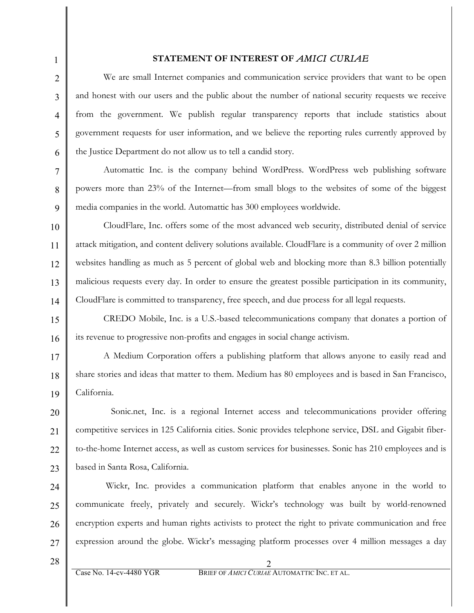## **STATEMENT OF INTEREST OF** *AMICI CURIAE*

We are small Internet companies and communication service providers that want to be open and honest with our users and the public about the number of national security requests we receive from the government. We publish regular transparency reports that include statistics about government requests for user information, and we believe the reporting rules currently approved by the Justice Department do not allow us to tell a candid story.

Automattic Inc. is the company behind WordPress. WordPress web publishing software powers more than 23% of the Internet—from small blogs to the websites of some of the biggest media companies in the world. Automattic has 300 employees worldwide.

10 11 12 13 14 CloudFlare, Inc. offers some of the most advanced web security, distributed denial of service attack mitigation, and content delivery solutions available. CloudFlare is a community of over 2 million websites handling as much as 5 percent of global web and blocking more than 8.3 billion potentially malicious requests every day. In order to ensure the greatest possible participation in its community, CloudFlare is committed to transparency, free speech, and due process for all legal requests.

15 16 CREDO Mobile, Inc. is a U.S.-based telecommunications company that donates a portion of its revenue to progressive non-profits and engages in social change activism.

17 18 19 A Medium Corporation offers a publishing platform that allows anyone to easily read and share stories and ideas that matter to them. Medium has 80 employees and is based in San Francisco, California.

20 21 22 23 Sonic.net, Inc. is a regional Internet access and telecommunications provider offering competitive services in 125 California cities. Sonic provides telephone service, DSL and Gigabit fiberto-the-home Internet access, as well as custom services for businesses. Sonic has 210 employees and is based in Santa Rosa, California.

24 25 26 27 Wickr, Inc. provides a communication platform that enables anyone in the world to communicate freely, privately and securely. Wickr's technology was built by world-renowned encryption experts and human rights activists to protect the right to private communication and free expression around the globe. Wickr's messaging platform processes over 4 million messages a day

28

1

2

3

4

5

6

7

8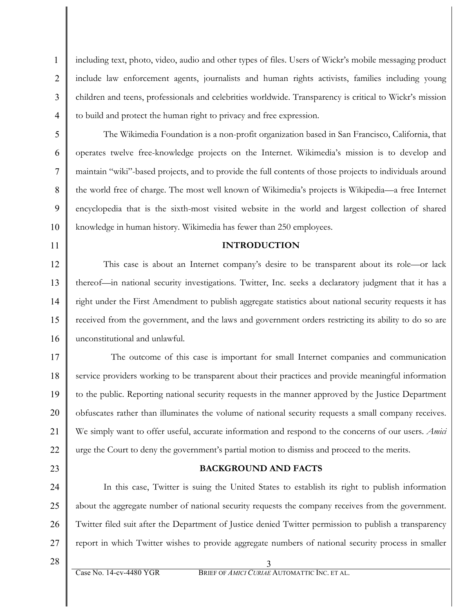including text, photo, video, audio and other types of files. Users of Wickr's mobile messaging product include law enforcement agents, journalists and human rights activists, families including young children and teens, professionals and celebrities worldwide. Transparency is critical to Wickr's mission to build and protect the human right to privacy and free expression.

The Wikimedia Foundation is a non-profit organization based in San Francisco, California, that operates twelve free-knowledge projects on the Internet. Wikimedia's mission is to develop and maintain "wiki"-based projects, and to provide the full contents of those projects to individuals around the world free of charge. The most well known of Wikimedia's projects is Wikipedia—a free Internet encyclopedia that is the sixth-most visited website in the world and largest collection of shared knowledge in human history. Wikimedia has fewer than 250 employees.

## **INTRODUCTION**

12 13 14 15 16 This case is about an Internet company's desire to be transparent about its role—or lack thereof—in national security investigations. Twitter, Inc. seeks a declaratory judgment that it has a right under the First Amendment to publish aggregate statistics about national security requests it has received from the government, and the laws and government orders restricting its ability to do so are unconstitutional and unlawful.

17 18 19 20 21 22 The outcome of this case is important for small Internet companies and communication service providers working to be transparent about their practices and provide meaningful information to the public. Reporting national security requests in the manner approved by the Justice Department obfuscates rather than illuminates the volume of national security requests a small company receives. We simply want to offer useful, accurate information and respond to the concerns of our users. *Amici* urge the Court to deny the government's partial motion to dismiss and proceed to the merits.

23

1

2

3

4

5

6

7

8

9

10

11

## **BACKGROUND AND FACTS**

24 25 26 27 In this case, Twitter is suing the United States to establish its right to publish information about the aggregate number of national security requests the company receives from the government. Twitter filed suit after the Department of Justice denied Twitter permission to publish a transparency report in which Twitter wishes to provide aggregate numbers of national security process in smaller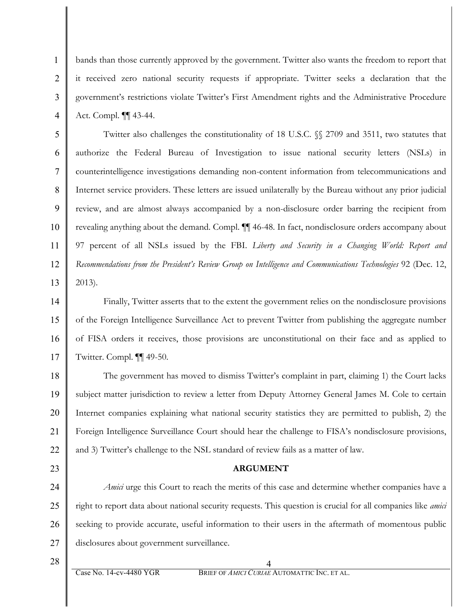bands than those currently approved by the government. Twitter also wants the freedom to report that it received zero national security requests if appropriate. Twitter seeks a declaration that the government's restrictions violate Twitter's First Amendment rights and the Administrative Procedure Act. Compl. ¶¶ 43-44.

5 6 7 8 9 10 11 12 13 Twitter also challenges the constitutionality of 18 U.S.C. §§ 2709 and 3511, two statutes that authorize the Federal Bureau of Investigation to issue national security letters (NSLs) in counterintelligence investigations demanding non-content information from telecommunications and Internet service providers. These letters are issued unilaterally by the Bureau without any prior judicial review, and are almost always accompanied by a non-disclosure order barring the recipient from revealing anything about the demand. Compl. ¶¶ 46-48. In fact, nondisclosure orders accompany about 97 percent of all NSLs issued by the FBI. *Liberty and Security in a Changing World: Report and Recommendations from the President's Review Group on Intelligence and Communications Technologies* 92 (Dec. 12, 2013).

14 15 16 17 Finally, Twitter asserts that to the extent the government relies on the nondisclosure provisions of the Foreign Intelligence Surveillance Act to prevent Twitter from publishing the aggregate number of FISA orders it receives, those provisions are unconstitutional on their face and as applied to Twitter. Compl. ¶¶ 49-50.

18 19 20 21 22 The government has moved to dismiss Twitter's complaint in part, claiming 1) the Court lacks subject matter jurisdiction to review a letter from Deputy Attorney General James M. Cole to certain Internet companies explaining what national security statistics they are permitted to publish, 2) the Foreign Intelligence Surveillance Court should hear the challenge to FISA's nondisclosure provisions, and 3) Twitter's challenge to the NSL standard of review fails as a matter of law.

23

1

2

3

4

## **ARGUMENT**

24 25 26 27 *Amici* urge this Court to reach the merits of this case and determine whether companies have a right to report data about national security requests. This question is crucial for all companies like *amici* seeking to provide accurate, useful information to their users in the aftermath of momentous public disclosures about government surveillance.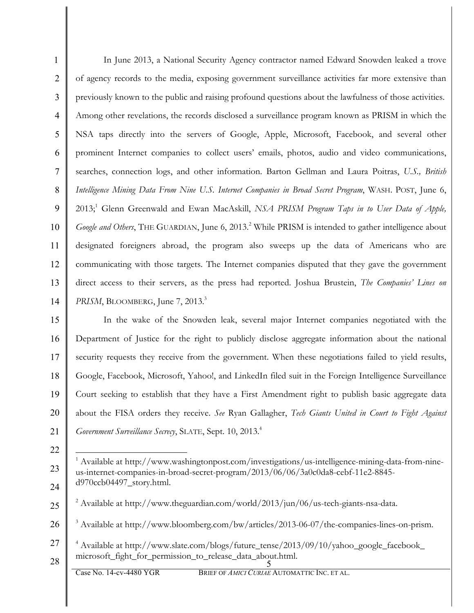1 2 3 4 5 6 7 8 9 10 11 12 13 14 In June 2013, a National Security Agency contractor named Edward Snowden leaked a trove of agency records to the media, exposing government surveillance activities far more extensive than previously known to the public and raising profound questions about the lawfulness of those activities. Among other revelations, the records disclosed a surveillance program known as PRISM in which the NSA taps directly into the servers of Google, Apple, Microsoft, Facebook, and several other prominent Internet companies to collect users' emails, photos, audio and video communications, searches, connection logs, and other information. Barton Gellman and Laura Poitras, *U.S., British Intelligence Mining Data From Nine U.S. Internet Companies in Broad Secret Program*, WASH. POST, June 6, 2013;<sup>1</sup> Glenn Greenwald and Ewan MacAskill, *NSA PRISM Program Taps in to User Data of Apple*, *Google and Others*, THE GUARDIAN, June 6, 2013.<sup>2</sup> While PRISM is intended to gather intelligence about designated foreigners abroad, the program also sweeps up the data of Americans who are communicating with those targets. The Internet companies disputed that they gave the government direct access to their servers, as the press had reported. Joshua Brustein, *The Companies' Lines on PRISM*, BLOOMBERG, June 7, 2013.<sup>3</sup>

15 16 17 18 19 20 21 In the wake of the Snowden leak, several major Internet companies negotiated with the Department of Justice for the right to publicly disclose aggregate information about the national security requests they receive from the government. When these negotiations failed to yield results, Google, Facebook, Microsoft, Yahoo!, and LinkedIn filed suit in the Foreign Intelligence Surveillance Court seeking to establish that they have a First Amendment right to publish basic aggregate data about the FISA orders they receive. *See* Ryan Gallagher, *Tech Giants United in Court to Fight Against Government Surveillance Secrecy*, SLATE, Sept. 10, 2013. 4

1

23

<sup>22</sup>

 $1$  Available at http://www.washingtonpost.com/investigations/us-intelligence-mining-data-from-nineus-internet-companies-in-broad-secret-program/2013/06/06/3a0c0da8-cebf-11e2-8845 d970ccb04497\_story.html.

<sup>25</sup>  $^{2}$  Available at http://www.theguardian.com/world/2013/jun/06/us-tech-giants-nsa-data.

<sup>26</sup> <sup>3</sup> Available at http://www.bloomberg.com/bw/articles/2013-06-07/the-companies-lines-on-prism.

<sup>5</sup> 27 <sup>4</sup> Available at http://www.slate.com/blogs/future\_tense/2013/09/10/yahoo\_google\_facebook\_ microsoft\_fight\_for\_permission\_to\_release\_data\_about.html.

<sup>28</sup>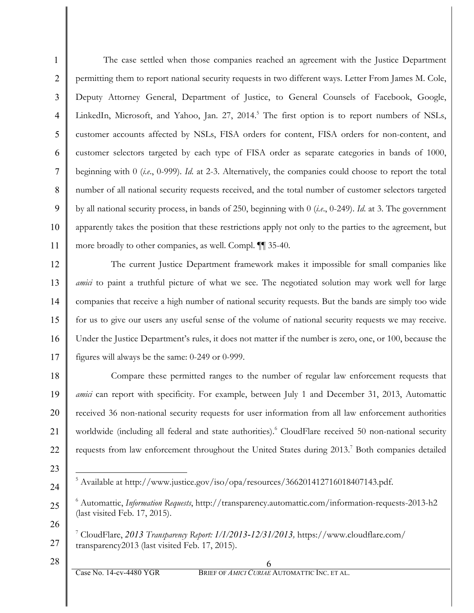1 2 3 4 5 6 7 8 9 10 11 The case settled when those companies reached an agreement with the Justice Department permitting them to report national security requests in two different ways. Letter From James M. Cole, Deputy Attorney General, Department of Justice, to General Counsels of Facebook, Google, LinkedIn, Microsoft, and Yahoo, Jan. 27, 2014.<sup>5</sup> The first option is to report numbers of NSLs, customer accounts affected by NSLs, FISA orders for content, FISA orders for non-content, and customer selectors targeted by each type of FISA order as separate categories in bands of 1000, beginning with 0 (*i.e*., 0-999). *Id*. at 2-3. Alternatively, the companies could choose to report the total number of all national security requests received, and the total number of customer selectors targeted by all national security process, in bands of 250, beginning with 0 (*i.e*., 0-249). *Id*. at 3. The government apparently takes the position that these restrictions apply not only to the parties to the agreement, but more broadly to other companies, as well. Compl. ¶¶ 35-40.

12 13 14 15 16 17 The current Justice Department framework makes it impossible for small companies like *amici* to paint a truthful picture of what we see. The negotiated solution may work well for large companies that receive a high number of national security requests. But the bands are simply too wide for us to give our users any useful sense of the volume of national security requests we may receive. Under the Justice Department's rules, it does not matter if the number is zero, one, or 100, because the figures will always be the same: 0-249 or 0-999.

18 19 20 21 22 Compare these permitted ranges to the number of regular law enforcement requests that *amici* can report with specificity. For example, between July 1 and December 31, 2013, Automattic received 36 non-national security requests for user information from all law enforcement authorities worldwide (including all federal and state authorities).<sup>6</sup> CloudFlare received 50 non-national security requests from law enforcement throughout the United States during 2013. <sup>7</sup> Both companies detailed

23

24

- <u>.</u>  $5$  Available at http://www.justice.gov/iso/opa/resources/366201412716018407143.pdf.
- 25 26 <sup>6</sup> Automattic, *Information Requests*, http://transparency.automattic.com/information-requests-2013-h2 (last visited Feb. 17, 2015).

27 <sup>7</sup> CloudFlare, *2013 Transparency Report: 1/1/2013*-*12/31/2013,* https://www.cloudflare.com/ transparency2013 (last visited Feb. 17, 2015).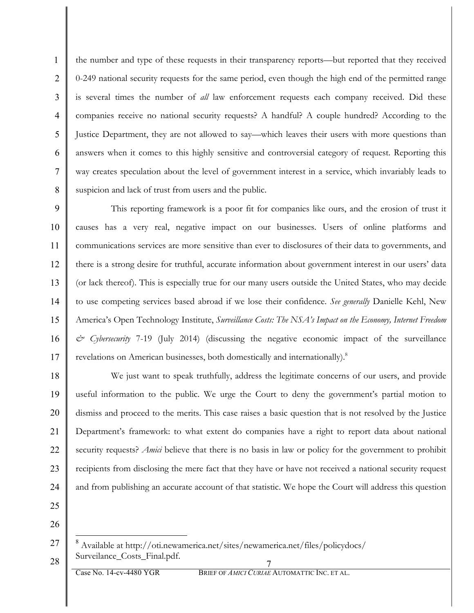4 6 8 the number and type of these requests in their transparency reports—but reported that they received 0-249 national security requests for the same period, even though the high end of the permitted range is several times the number of *all* law enforcement requests each company received. Did these companies receive no national security requests? A handful? A couple hundred? According to the Justice Department, they are not allowed to say—which leaves their users with more questions than answers when it comes to this highly sensitive and controversial category of request. Reporting this way creates speculation about the level of government interest in a service, which invariably leads to suspicion and lack of trust from users and the public.

9 10 11 12 13 14 15 16 17 This reporting framework is a poor fit for companies like ours, and the erosion of trust it causes has a very real, negative impact on our businesses. Users of online platforms and communications services are more sensitive than ever to disclosures of their data to governments, and there is a strong desire for truthful, accurate information about government interest in our users' data (or lack thereof). This is especially true for our many users outside the United States, who may decide to use competing services based abroad if we lose their confidence. *See generally* Danielle Kehl, New America's Open Technology Institute, *Surveillance Costs: The NSA's Impact on the Economy, Internet Freedom & Cybersecurity* 7-19 (July 2014) (discussing the negative economic impact of the surveillance revelations on American businesses, both domestically and internationally).<sup>8</sup>

18 19 20 21 22 23 24 We just want to speak truthfully, address the legitimate concerns of our users, and provide useful information to the public. We urge the Court to deny the government's partial motion to dismiss and proceed to the merits. This case raises a basic question that is not resolved by the Justice Department's framework: to what extent do companies have a right to report data about national security requests? *Amici* believe that there is no basis in law or policy for the government to prohibit recipients from disclosing the mere fact that they have or have not received a national security request and from publishing an accurate account of that statistic. We hope the Court will address this question

25

1

2

3

5

7

<sup>7</sup> 27 28 8 Available at http://oti.newamerica.net/sites/newamerica.net/files/policydocs/ Surveilance Costs Final.pdf.